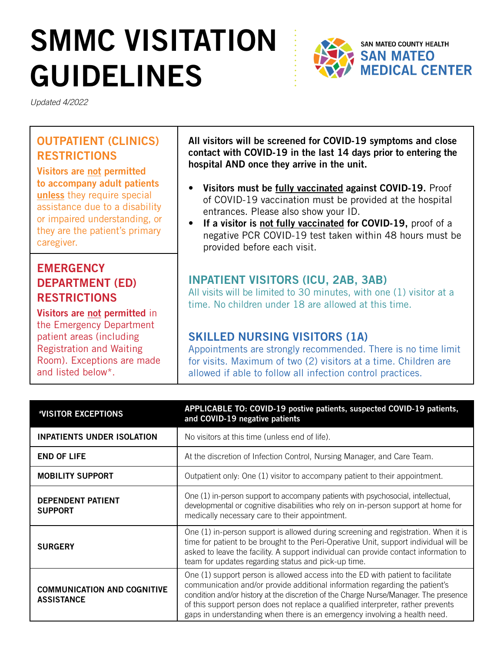# SMMC VISITATION GUIDELINES



*Updated 4/2022*

### OUTPATIENT (CLINICS) RESTRICTIONS

Visitors are not permitted to accompany adult patients unless they require special assistance due to a disability or impaired understanding, or they are the patient's primary caregiver.

### **EMERGENCY** DEPARTMENT (ED) RESTRICTIONS

Visitors are not permitted in the Emergency Department patient areas (including Registration and Waiting Room). Exceptions are made and listed below\*.

All visitors will be screened for COVID-19 symptoms and close contact with COVID-19 in the last 14 days prior to entering the hospital AND once they arrive in the unit.

- Visitors must be fully vaccinated against COVID-19. Proof of COVID-19 vaccination must be provided at the hospital entrances. Please also show your ID.
- If a visitor is not fully vaccinated for COVID-19, proof of a negative PCR COVID-19 test taken within 48 hours must be provided before each visit.

### INPATIENT VISITORS (ICU, 2AB, 3AB)

All visits will be limited to 30 minutes, with one (1) visitor at a time. No children under 18 are allowed at this time.

### SKILLED NURSING VISITORS (1A)

Appointments are strongly recommended. There is no time limit for visits. Maximum of two (2) visitors at a time. Children are allowed if able to follow all infection control practices.

| *VISITOR EXCEPTIONS                                     | APPLICABLE TO: COVID-19 postive patients, suspected COVID-19 patients,<br>and COVID-19 negative patients                                                                                                                                                                                                                                                                                                                |
|---------------------------------------------------------|-------------------------------------------------------------------------------------------------------------------------------------------------------------------------------------------------------------------------------------------------------------------------------------------------------------------------------------------------------------------------------------------------------------------------|
| <b>INPATIENTS UNDER ISOLATION</b>                       | No visitors at this time (unless end of life).                                                                                                                                                                                                                                                                                                                                                                          |
| <b>END OF LIFE</b>                                      | At the discretion of Infection Control, Nursing Manager, and Care Team.                                                                                                                                                                                                                                                                                                                                                 |
| <b>MOBILITY SUPPORT</b>                                 | Outpatient only: One (1) visitor to accompany patient to their appointment.                                                                                                                                                                                                                                                                                                                                             |
| <b>DEPENDENT PATIENT</b><br><b>SUPPORT</b>              | One (1) in-person support to accompany patients with psychosocial, intellectual,<br>developmental or cognitive disabilities who rely on in-person support at home for<br>medically necessary care to their appointment.                                                                                                                                                                                                 |
| <b>SURGERY</b>                                          | One (1) in-person support is allowed during screening and registration. When it is<br>time for patient to be brought to the Peri-Operative Unit, support individual will be<br>asked to leave the facility. A support individual can provide contact information to<br>team for updates regarding status and pick-up time.                                                                                              |
| <b>COMMUNICATION AND COGNITIVE</b><br><b>ASSISTANCE</b> | One (1) support person is allowed access into the ED with patient to facilitate<br>communication and/or provide additional information regarding the patient's<br>condition and/or history at the discretion of the Charge Nurse/Manager. The presence<br>of this support person does not replace a qualified interpreter, rather prevents<br>gaps in understanding when there is an emergency involving a health need. |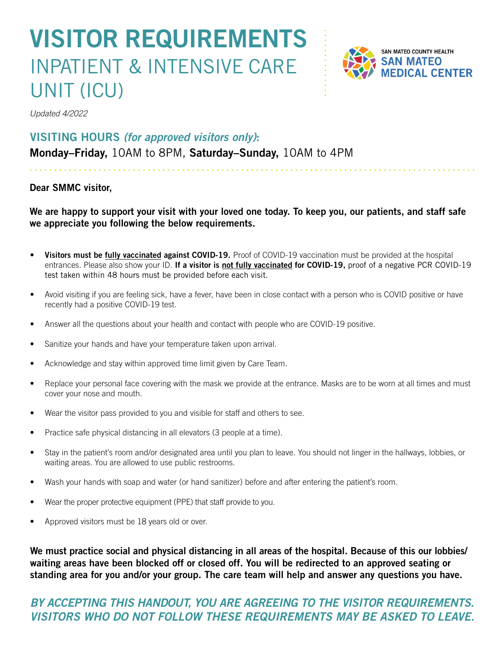## VISITOR REQUIREMENTS INPATIENT & INTENSIVE CARE UNIT (ICU)



*Updated 4/2022*

### VISITING HOURS *(for approved visitors only)*:

Monday–Friday, 10AM to 8PM, Saturday–Sunday, 10AM to 4PM

#### Dear SMMC visitor,

We are happy to support your visit with your loved one today. To keep you, our patients, and staff safe we appreciate you following the below requirements.

- Visitors must be fully vaccinated against COVID-19. Proof of COVID-19 vaccination must be provided at the hospital entrances. Please also show your ID. If a visitor is not fully vaccinated for COVID-19, proof of a negative PCR COVID-19 test taken within 48 hours must be provided before each visit.
- Avoid visiting if you are feeling sick, have a fever, have been in close contact with a person who is COVID positive or have recently had a positive COVID-19 test.
- Answer all the questions about your health and contact with people who are COVID-19 positive.
- Sanitize your hands and have your temperature taken upon arrival.
- Acknowledge and stay within approved time limit given by Care Team.
- Replace your personal face covering with the mask we provide at the entrance. Masks are to be worn at all times and must cover your nose and mouth.
- Wear the visitor pass provided to you and visible for staff and others to see.
- Practice safe physical distancing in all elevators (3 people at a time).
- Stay in the patient's room and/or designated area until you plan to leave. You should not linger in the hallways, lobbies, or waiting areas. You are allowed to use public restrooms.
- Wash your hands with soap and water (or hand sanitizer) before and after entering the patient's room.
- Wear the proper protective equipment (PPE) that staff provide to you.
- Approved visitors must be 18 years old or over.

We must practice social and physical distancing in all areas of the hospital. Because of this our lobbies/ waiting areas have been blocked off or closed off. You will be redirected to an approved seating or standing area for you and/or your group. The care team will help and answer any questions you have.

### *BY ACCEPTING THIS HANDOUT, YOU ARE AGREEING TO THE VISITOR REQUIREMENTS. VISITORS WHO DO NOT FOLLOW THESE REQUIREMENTS MAY BE ASKED TO LEAVE.*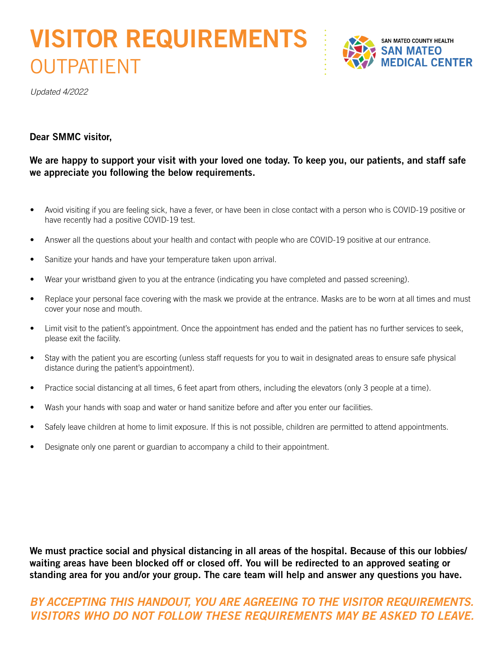# VISITOR REQUIREMENTS **OUTPATIENT**



*Updated 4/2022*

#### Dear SMMC visitor,

#### We are happy to support your visit with your loved one today. To keep you, our patients, and staff safe we appreciate you following the below requirements.

- Avoid visiting if you are feeling sick, have a fever, or have been in close contact with a person who is COVID-19 positive or have recently had a positive COVID-19 test.
- Answer all the questions about your health and contact with people who are COVID-19 positive at our entrance.
- Sanitize your hands and have your temperature taken upon arrival.
- Wear your wristband given to you at the entrance (indicating you have completed and passed screening).
- Replace your personal face covering with the mask we provide at the entrance. Masks are to be worn at all times and must cover your nose and mouth.
- Limit visit to the patient's appointment. Once the appointment has ended and the patient has no further services to seek, please exit the facility.
- Stay with the patient you are escorting (unless staff requests for you to wait in designated areas to ensure safe physical distance during the patient's appointment).
- Practice social distancing at all times, 6 feet apart from others, including the elevators (only 3 people at a time).
- Wash your hands with soap and water or hand sanitize before and after you enter our facilities.
- Safely leave children at home to limit exposure. If this is not possible, children are permitted to attend appointments.
- Designate only one parent or guardian to accompany a child to their appointment.

We must practice social and physical distancing in all areas of the hospital. Because of this our lobbies/ waiting areas have been blocked off or closed off. You will be redirected to an approved seating or standing area for you and/or your group. The care team will help and answer any questions you have.

### *BY ACCEPTING THIS HANDOUT, YOU ARE AGREEING TO THE VISITOR REQUIREMENTS. VISITORS WHO DO NOT FOLLOW THESE REQUIREMENTS MAY BE ASKED TO LEAVE.*